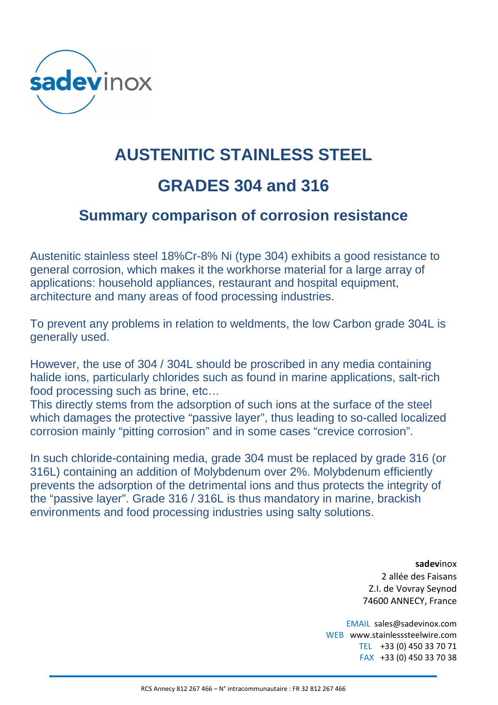

## **AUSTENITIC STAINLESS STEEL GRADES 304 and 316**

## **Summary comparison of corrosion resistance**

Austenitic stainless steel 18%Cr-8% Ni (type 304) exhibits a good resistance to general corrosion, which makes it the workhorse material for a large array of applications: household appliances, restaurant and hospital equipment, architecture and many areas of food processing industries.

To prevent any problems in relation to weldments, the low Carbon grade 304L is generally used.

However, the use of 304 / 304L should be proscribed in any media containing halide ions, particularly chlorides such as found in marine applications, salt-rich food processing such as brine, etc…

This directly stems from the adsorption of such ions at the surface of the steel which damages the protective "passive layer", thus leading to so-called localized corrosion mainly "pitting corrosion" and in some cases "crevice corrosion".

In such chloride-containing media, grade 304 must be replaced by grade 316 (or 316L) containing an addition of Molybdenum over 2%. Molybdenum efficiently prevents the adsorption of the detrimental ions and thus protects the integrity of the "passive layer". Grade 316 / 316L is thus mandatory in marine, brackish environments and food processing industries using salty solutions.

> **sadev**inox 2 allée des Faisans Z.I. de Vovray Seynod 74600 ANNECY, France

EMAIL sales@sadevinox.com WEB www.stainlesssteelwire.com TEL +33 (0) 450 33 70 71 FAX +33 (0) 450 33 70 38